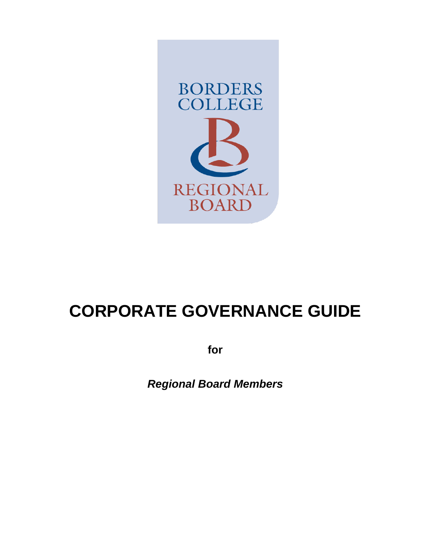

# **CORPORATE GOVERNANCE GUIDE**

**for**

*Regional Board Members*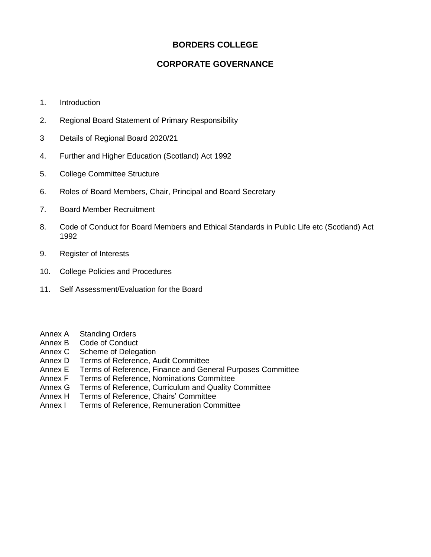# **BORDERS COLLEGE**

# **CORPORATE GOVERNANCE**

- 1. Introduction
- 2. Regional Board Statement of Primary Responsibility
- 3 Details of Regional Board 2020/21
- 4. Further and Higher Education (Scotland) Act 1992
- 5. College Committee Structure
- 6. Roles of Board Members, Chair, Principal and Board Secretary
- 7. Board Member Recruitment
- 8. Code of Conduct for Board Members and Ethical Standards in Public Life etc (Scotland) Act 1992
- 9. Register of Interests
- 10. College Policies and Procedures
- 11. Self Assessment/Evaluation for the Board
- Annex A Standing Orders
- Annex B Code of Conduct
- Annex C Scheme of Delegation
- Annex D Terms of Reference, Audit Committee
- Annex E Terms of Reference, Finance and General Purposes Committee
- Annex F Terms of Reference, Nominations Committee
- Annex G Terms of Reference, Curriculum and Quality Committee
- Annex H Terms of Reference, Chairs' Committee
- Annex I Terms of Reference, Remuneration Committee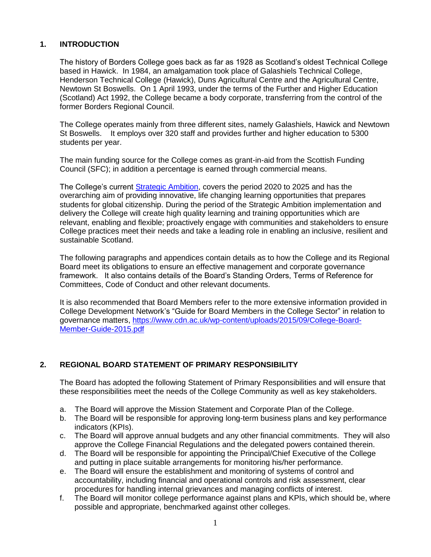## **1. INTRODUCTION**

The history of Borders College goes back as far as 1928 as Scotland's oldest Technical College based in Hawick. In 1984, an amalgamation took place of Galashiels Technical College, Henderson Technical College (Hawick), Duns Agricultural Centre and the Agricultural Centre, Newtown St Boswells. On 1 April 1993, under the terms of the Further and Higher Education (Scotland) Act 1992, the College became a body corporate, transferring from the control of the former Borders Regional Council.

The College operates mainly from three different sites, namely Galashiels, Hawick and Newtown St Boswells. It employs over 320 staff and provides further and higher education to 5300 students per year.

The main funding source for the College comes as grant-in-aid from the Scottish Funding Council (SFC); in addition a percentage is earned through commercial means.

The College's current [Strategic Ambition,](http://board.borderscollege.ac.uk/general-resources/) covers the period 2020 to 2025 and has the overarching aim of providing innovative, life changing learning opportunities that prepares students for global citizenship. During the period of the Strategic Ambition implementation and delivery the College will create high quality learning and training opportunities which are relevant, enabling and flexible; proactively engage with communities and stakeholders to ensure College practices meet their needs and take a leading role in enabling an inclusive, resilient and sustainable Scotland.

The following paragraphs and appendices contain details as to how the College and its Regional Board meet its obligations to ensure an effective management and corporate governance framework. It also contains details of the Board's Standing Orders, Terms of Reference for Committees, Code of Conduct and other relevant documents.

It is also recommended that Board Members refer to the more extensive information provided in College Development Network's "Guide for Board Members in the College Sector" in relation to governance matters, [https://www.cdn.ac.uk/wp-content/uploads/2015/09/College-Board-](https://www.cdn.ac.uk/wp-content/uploads/2015/09/College-Board-Member-Guide-2015.pdf)[Member-Guide-2015.pdf](https://www.cdn.ac.uk/wp-content/uploads/2015/09/College-Board-Member-Guide-2015.pdf)

## **2. REGIONAL BOARD STATEMENT OF PRIMARY RESPONSIBILITY**

The Board has adopted the following Statement of Primary Responsibilities and will ensure that these responsibilities meet the needs of the College Community as well as key stakeholders.

- a. The Board will approve the Mission Statement and Corporate Plan of the College.
- b. The Board will be responsible for approving long-term business plans and key performance indicators (KPIs).
- c. The Board will approve annual budgets and any other financial commitments. They will also approve the College Financial Regulations and the delegated powers contained therein.
- d. The Board will be responsible for appointing the Principal/Chief Executive of the College and putting in place suitable arrangements for monitoring his/her performance.
- e. The Board will ensure the establishment and monitoring of systems of control and accountability, including financial and operational controls and risk assessment, clear procedures for handling internal grievances and managing conflicts of interest.
- f. The Board will monitor college performance against plans and KPIs, which should be, where possible and appropriate, benchmarked against other colleges.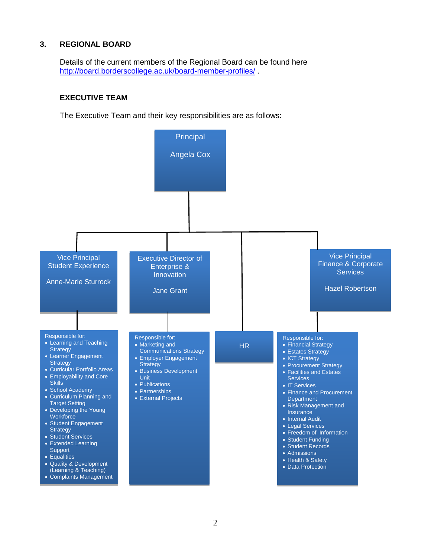## **3. REGIONAL BOARD**

Details of the current members of the Regional Board can be found here <http://board.borderscollege.ac.uk/board-member-profiles/> .

### **EXECUTIVE TEAM**

The Executive Team and their key responsibilities are as follows:

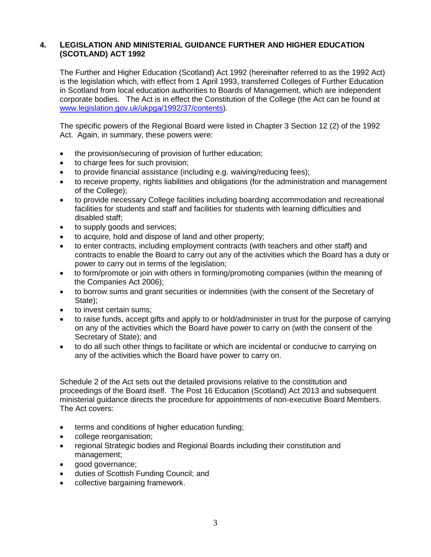## **4. LEGISLATION AND MINISTERIAL GUIDANCE FURTHER AND HIGHER EDUCATION (SCOTLAND) ACT 1992**

The Further and Higher Education (Scotland) Act 1992 (hereinafter referred to as the 1992 Act) is the legislation which, with effect from 1 April 1993, transferred Colleges of Further Education in Scotland from local education authorities to Boards of Management, which are independent corporate bodies. The Act is in effect the Constitution of the College (the Act can be found at [www.legislation.gov.uk/ukpga/1992/37/contents\)](http://www.legislation.gov.uk/ukpga/1992/37/contents).

The specific powers of the Regional Board were listed in Chapter 3 Section 12 (2) of the 1992 Act. Again, in summary, these powers were:

- the provision/securing of provision of further education;
- to charge fees for such provision;
- to provide financial assistance (including e.g. waiving/reducing fees);
- to receive property, rights liabilities and obligations (for the administration and management of the College):
- to provide necessary College facilities including boarding accommodation and recreational facilities for students and staff and facilities for students with learning difficulties and disabled staff;
- to supply goods and services;
- to acquire, hold and dispose of land and other property;
- to enter contracts, including employment contracts (with teachers and other staff) and contracts to enable the Board to carry out any of the activities which the Board has a duty or power to carry out in terms of the legislation;
- to form/promote or join with others in forming/promoting companies (within the meaning of the Companies Act 2006);
- to borrow sums and grant securities or indemnities (with the consent of the Secretary of State);
- to invest certain sums;
- to raise funds, accept gifts and apply to or hold/administer in trust for the purpose of carrying on any of the activities which the Board have power to carry on (with the consent of the Secretary of State); and
- to do all such other things to facilitate or which are incidental or conducive to carrying on any of the activities which the Board have power to carry on.

Schedule 2 of the Act sets out the detailed provisions relative to the constitution and proceedings of the Board itself. The Post 16 Education (Scotland) Act 2013 and subsequent ministerial guidance directs the procedure for appointments of non-executive Board Members. The Act covers:

- terms and conditions of higher education funding;
- college reorganisation;
- regional Strategic bodies and Regional Boards including their constitution and management;
- good governance;
- duties of Scottish Funding Council; and
- collective bargaining framework.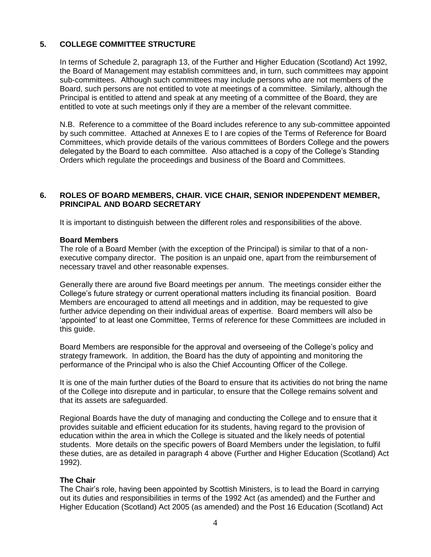## **5. COLLEGE COMMITTEE STRUCTURE**

In terms of Schedule 2, paragraph 13, of the Further and Higher Education (Scotland) Act 1992, the Board of Management may establish committees and, in turn, such committees may appoint sub-committees. Although such committees may include persons who are not members of the Board, such persons are not entitled to vote at meetings of a committee. Similarly, although the Principal is entitled to attend and speak at any meeting of a committee of the Board, they are entitled to vote at such meetings only if they are a member of the relevant committee.

N.B. Reference to a committee of the Board includes reference to any sub-committee appointed by such committee. Attached at Annexes E to I are copies of the Terms of Reference for Board Committees, which provide details of the various committees of Borders College and the powers delegated by the Board to each committee. Also attached is a copy of the College's Standing Orders which regulate the proceedings and business of the Board and Committees.

## **6. ROLES OF BOARD MEMBERS, CHAIR. VICE CHAIR, SENIOR INDEPENDENT MEMBER, PRINCIPAL AND BOARD SECRETARY**

It is important to distinguish between the different roles and responsibilities of the above.

#### **Board Members**

The role of a Board Member (with the exception of the Principal) is similar to that of a nonexecutive company director. The position is an unpaid one, apart from the reimbursement of necessary travel and other reasonable expenses.

Generally there are around five Board meetings per annum. The meetings consider either the College's future strategy or current operational matters including its financial position. Board Members are encouraged to attend all meetings and in addition, may be requested to give further advice depending on their individual areas of expertise. Board members will also be 'appointed' to at least one Committee, Terms of reference for these Committees are included in this guide.

Board Members are responsible for the approval and overseeing of the College's policy and strategy framework. In addition, the Board has the duty of appointing and monitoring the performance of the Principal who is also the Chief Accounting Officer of the College.

It is one of the main further duties of the Board to ensure that its activities do not bring the name of the College into disrepute and in particular, to ensure that the College remains solvent and that its assets are safeguarded.

Regional Boards have the duty of managing and conducting the College and to ensure that it provides suitable and efficient education for its students, having regard to the provision of education within the area in which the College is situated and the likely needs of potential students. More details on the specific powers of Board Members under the legislation, to fulfil these duties, are as detailed in paragraph 4 above (Further and Higher Education (Scotland) Act 1992).

## **The Chair**

The Chair's role, having been appointed by Scottish Ministers, is to lead the Board in carrying out its duties and responsibilities in terms of the 1992 Act (as amended) and the Further and Higher Education (Scotland) Act 2005 (as amended) and the Post 16 Education (Scotland) Act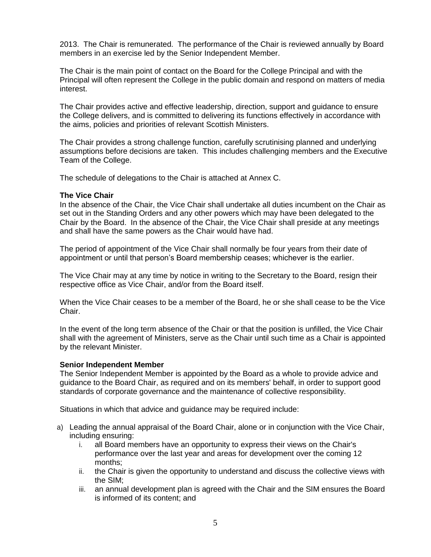2013. The Chair is remunerated. The performance of the Chair is reviewed annually by Board members in an exercise led by the Senior Independent Member.

The Chair is the main point of contact on the Board for the College Principal and with the Principal will often represent the College in the public domain and respond on matters of media interest.

The Chair provides active and effective leadership, direction, support and guidance to ensure the College delivers, and is committed to delivering its functions effectively in accordance with the aims, policies and priorities of relevant Scottish Ministers.

The Chair provides a strong challenge function, carefully scrutinising planned and underlying assumptions before decisions are taken. This includes challenging members and the Executive Team of the College.

The schedule of delegations to the Chair is attached at Annex C.

#### **The Vice Chair**

In the absence of the Chair, the Vice Chair shall undertake all duties incumbent on the Chair as set out in the Standing Orders and any other powers which may have been delegated to the Chair by the Board. In the absence of the Chair, the Vice Chair shall preside at any meetings and shall have the same powers as the Chair would have had.

The period of appointment of the Vice Chair shall normally be four years from their date of appointment or until that person's Board membership ceases; whichever is the earlier.

The Vice Chair may at any time by notice in writing to the Secretary to the Board, resign their respective office as Vice Chair, and/or from the Board itself.

When the Vice Chair ceases to be a member of the Board, he or she shall cease to be the Vice Chair.

In the event of the long term absence of the Chair or that the position is unfilled, the Vice Chair shall with the agreement of Ministers, serve as the Chair until such time as a Chair is appointed by the relevant Minister.

#### **Senior Independent Member**

The Senior Independent Member is appointed by the Board as a whole to provide advice and guidance to the Board Chair, as required and on its members' behalf, in order to support good standards of corporate governance and the maintenance of collective responsibility.

Situations in which that advice and guidance may be required include:

- a) Leading the annual appraisal of the Board Chair, alone or in conjunction with the Vice Chair, including ensuring:
	- i. all Board members have an opportunity to express their views on the Chair's performance over the last year and areas for development over the coming 12 months;
	- ii. the Chair is given the opportunity to understand and discuss the collective views with the SIM;
	- iii. an annual development plan is agreed with the Chair and the SIM ensures the Board is informed of its content; and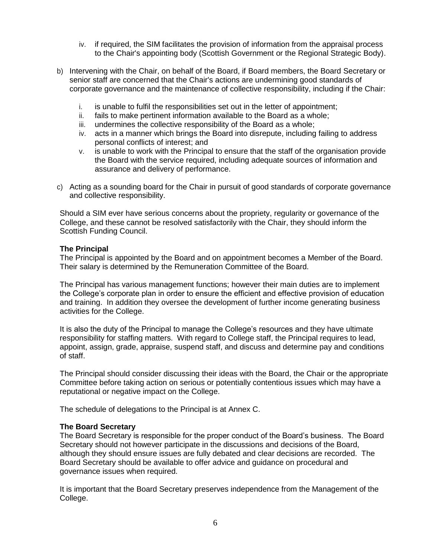- iv. if required, the SIM facilitates the provision of information from the appraisal process to the Chair's appointing body (Scottish Government or the Regional Strategic Body).
- b) Intervening with the Chair, on behalf of the Board, if Board members, the Board Secretary or senior staff are concerned that the Chair's actions are undermining good standards of corporate governance and the maintenance of collective responsibility, including if the Chair:
	- i. is unable to fulfil the responsibilities set out in the letter of appointment;
	- ii. fails to make pertinent information available to the Board as a whole;
	- iii. undermines the collective responsibility of the Board as a whole;
	- iv. acts in a manner which brings the Board into disrepute, including failing to address personal conflicts of interest; and
	- v. is unable to work with the Principal to ensure that the staff of the organisation provide the Board with the service required, including adequate sources of information and assurance and delivery of performance.
- c) Acting as a sounding board for the Chair in pursuit of good standards of corporate governance and collective responsibility.

Should a SIM ever have serious concerns about the propriety, regularity or governance of the College, and these cannot be resolved satisfactorily with the Chair, they should inform the Scottish Funding Council.

#### **The Principal**

The Principal is appointed by the Board and on appointment becomes a Member of the Board. Their salary is determined by the Remuneration Committee of the Board.

The Principal has various management functions; however their main duties are to implement the College's corporate plan in order to ensure the efficient and effective provision of education and training. In addition they oversee the development of further income generating business activities for the College.

It is also the duty of the Principal to manage the College's resources and they have ultimate responsibility for staffing matters. With regard to College staff, the Principal requires to lead, appoint, assign, grade, appraise, suspend staff, and discuss and determine pay and conditions of staff.

The Principal should consider discussing their ideas with the Board, the Chair or the appropriate Committee before taking action on serious or potentially contentious issues which may have a reputational or negative impact on the College.

The schedule of delegations to the Principal is at Annex C.

#### **The Board Secretary**

The Board Secretary is responsible for the proper conduct of the Board's business. The Board Secretary should not however participate in the discussions and decisions of the Board, although they should ensure issues are fully debated and clear decisions are recorded. The Board Secretary should be available to offer advice and guidance on procedural and governance issues when required.

It is important that the Board Secretary preserves independence from the Management of the College.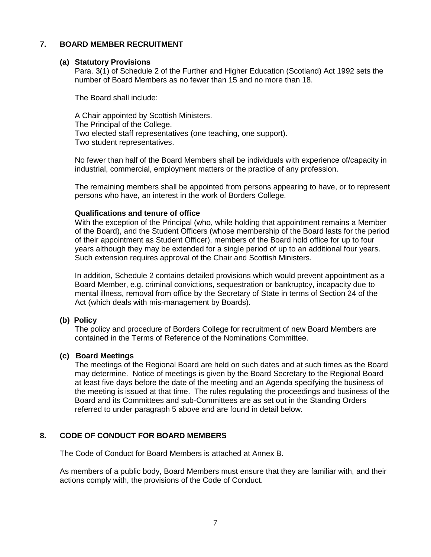## **7. BOARD MEMBER RECRUITMENT**

### **(a) Statutory Provisions**

Para. 3(1) of Schedule 2 of the Further and Higher Education (Scotland) Act 1992 sets the number of Board Members as no fewer than 15 and no more than 18.

The Board shall include:

A Chair appointed by Scottish Ministers. The Principal of the College. Two elected staff representatives (one teaching, one support). Two student representatives.

No fewer than half of the Board Members shall be individuals with experience of/capacity in industrial, commercial, employment matters or the practice of any profession.

The remaining members shall be appointed from persons appearing to have, or to represent persons who have, an interest in the work of Borders College.

#### **Qualifications and tenure of office**

With the exception of the Principal (who, while holding that appointment remains a Member of the Board), and the Student Officers (whose membership of the Board lasts for the period of their appointment as Student Officer), members of the Board hold office for up to four years although they may be extended for a single period of up to an additional four years. Such extension requires approval of the Chair and Scottish Ministers.

In addition, Schedule 2 contains detailed provisions which would prevent appointment as a Board Member, e.g. criminal convictions, sequestration or bankruptcy, incapacity due to mental illness, removal from office by the Secretary of State in terms of Section 24 of the Act (which deals with mis-management by Boards).

## **(b) Policy**

The policy and procedure of Borders College for recruitment of new Board Members are contained in the Terms of Reference of the Nominations Committee.

## **(c) Board Meetings**

The meetings of the Regional Board are held on such dates and at such times as the Board may determine. Notice of meetings is given by the Board Secretary to the Regional Board at least five days before the date of the meeting and an Agenda specifying the business of the meeting is issued at that time. The rules regulating the proceedings and business of the Board and its Committees and sub-Committees are as set out in the Standing Orders referred to under paragraph 5 above and are found in detail below.

## **8. CODE OF CONDUCT FOR BOARD MEMBERS**

The Code of Conduct for Board Members is attached at Annex B.

As members of a public body, Board Members must ensure that they are familiar with, and their actions comply with, the provisions of the Code of Conduct.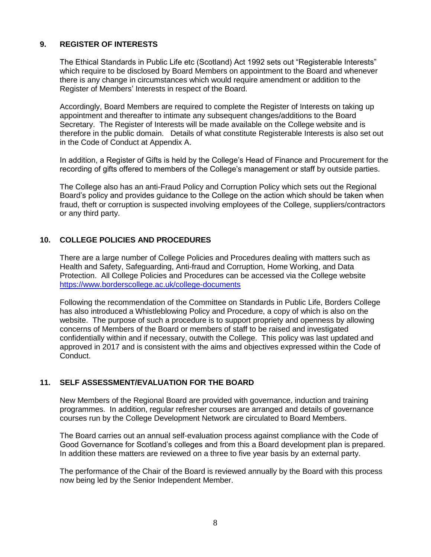## **9. REGISTER OF INTERESTS**

The Ethical Standards in Public Life etc (Scotland) Act 1992 sets out "Registerable Interests" which require to be disclosed by Board Members on appointment to the Board and whenever there is any change in circumstances which would require amendment or addition to the Register of Members' Interests in respect of the Board.

Accordingly, Board Members are required to complete the Register of Interests on taking up appointment and thereafter to intimate any subsequent changes/additions to the Board Secretary. The Register of Interests will be made available on the College website and is therefore in the public domain. Details of what constitute Registerable Interests is also set out in the Code of Conduct at Appendix A.

In addition, a Register of Gifts is held by the College's Head of Finance and Procurement for the recording of gifts offered to members of the College's management or staff by outside parties.

The College also has an anti-Fraud Policy and Corruption Policy which sets out the Regional Board's policy and provides guidance to the College on the action which should be taken when fraud, theft or corruption is suspected involving employees of the College, suppliers/contractors or any third party.

## **10. COLLEGE POLICIES AND PROCEDURES**

There are a large number of College Policies and Procedures dealing with matters such as Health and Safety, Safeguarding, Anti-fraud and Corruption, Home Working, and Data Protection. All College Policies and Procedures can be accessed via the College website <https://www.borderscollege.ac.uk/college-documents>

Following the recommendation of the Committee on Standards in Public Life, Borders College has also introduced a Whistleblowing Policy and Procedure, a copy of which is also on the website. The purpose of such a procedure is to support propriety and openness by allowing concerns of Members of the Board or members of staff to be raised and investigated confidentially within and if necessary, outwith the College. This policy was last updated and approved in 2017 and is consistent with the aims and objectives expressed within the Code of Conduct.

## **11. SELF ASSESSMENT/EVALUATION FOR THE BOARD**

New Members of the Regional Board are provided with governance, induction and training programmes. In addition, regular refresher courses are arranged and details of governance courses run by the College Development Network are circulated to Board Members.

The Board carries out an annual self-evaluation process against compliance with the Code of Good Governance for Scotland's colleges and from this a Board development plan is prepared. In addition these matters are reviewed on a three to five year basis by an external party.

The performance of the Chair of the Board is reviewed annually by the Board with this process now being led by the Senior Independent Member.